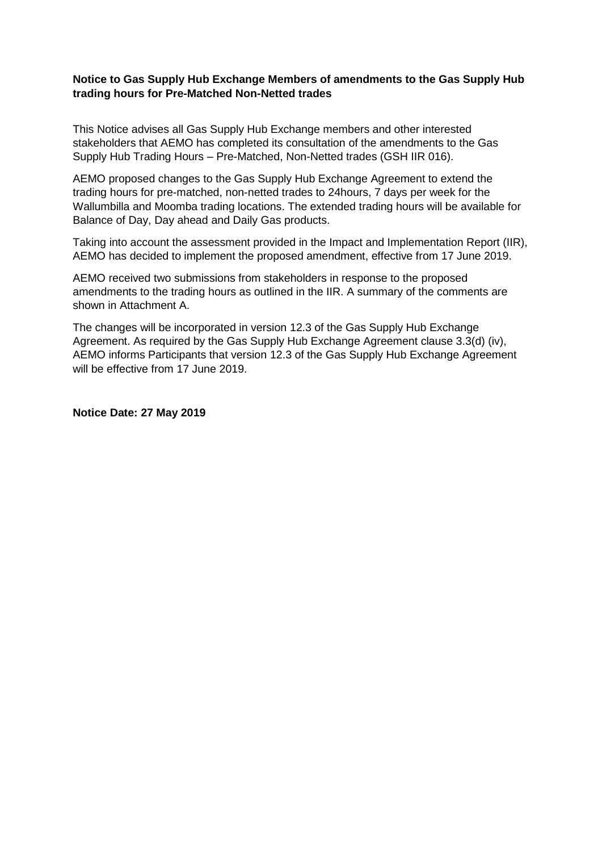## **Notice to Gas Supply Hub Exchange Members of amendments to the Gas Supply Hub trading hours for Pre-Matched Non-Netted trades**

This Notice advises all Gas Supply Hub Exchange members and other interested stakeholders that AEMO has completed its consultation of the amendments to the Gas Supply Hub Trading Hours – Pre-Matched, Non-Netted trades (GSH IIR 016).

AEMO proposed changes to the Gas Supply Hub Exchange Agreement to extend the trading hours for pre-matched, non-netted trades to 24hours, 7 days per week for the Wallumbilla and Moomba trading locations. The extended trading hours will be available for Balance of Day, Day ahead and Daily Gas products.

Taking into account the assessment provided in the Impact and Implementation Report (IIR), AEMO has decided to implement the proposed amendment, effective from 17 June 2019.

AEMO received two submissions from stakeholders in response to the proposed amendments to the trading hours as outlined in the IIR. A summary of the comments are shown in Attachment A.

The changes will be incorporated in version 12.3 of the Gas Supply Hub Exchange Agreement. As required by the Gas Supply Hub Exchange Agreement clause 3.3(d) (iv), AEMO informs Participants that version 12.3 of the Gas Supply Hub Exchange Agreement will be effective from 17 June 2019.

## **Notice Date: 27 May 2019**